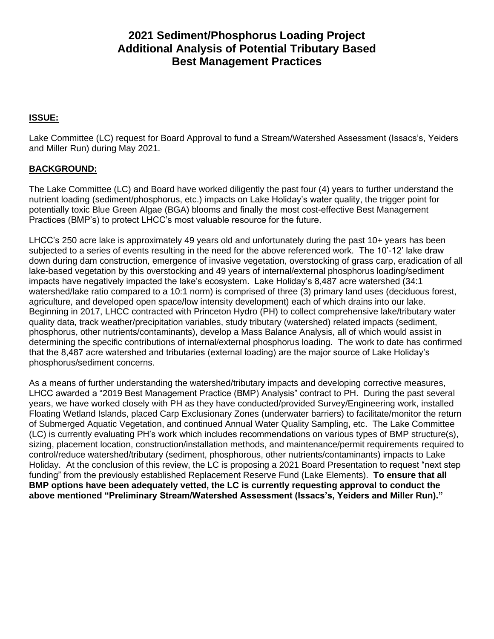# **2021 Sediment/Phosphorus Loading Project Additional Analysis of Potential Tributary Based Best Management Practices**

## **ISSUE:**

Lake Committee (LC) request for Board Approval to fund a Stream/Watershed Assessment (Issacs's, Yeiders and Miller Run) during May 2021.

### **BACKGROUND:**

The Lake Committee (LC) and Board have worked diligently the past four (4) years to further understand the nutrient loading (sediment/phosphorus, etc.) impacts on Lake Holiday's water quality, the trigger point for potentially toxic Blue Green Algae (BGA) blooms and finally the most cost-effective Best Management Practices (BMP's) to protect LHCC's most valuable resource for the future.

LHCC's 250 acre lake is approximately 49 years old and unfortunately during the past 10+ years has been subjected to a series of events resulting in the need for the above referenced work. The 10'-12' lake draw down during dam construction, emergence of invasive vegetation, overstocking of grass carp, eradication of all lake-based vegetation by this overstocking and 49 years of internal/external phosphorus loading/sediment impacts have negatively impacted the lake's ecosystem. Lake Holiday's 8,487 acre watershed (34:1 watershed/lake ratio compared to a 10:1 norm) is comprised of three (3) primary land uses (deciduous forest, agriculture, and developed open space/low intensity development) each of which drains into our lake. Beginning in 2017, LHCC contracted with Princeton Hydro (PH) to collect comprehensive lake/tributary water quality data, track weather/precipitation variables, study tributary (watershed) related impacts (sediment, phosphorus, other nutrients/contaminants), develop a Mass Balance Analysis, all of which would assist in determining the specific contributions of internal/external phosphorus loading. The work to date has confirmed that the 8,487 acre watershed and tributaries (external loading) are the major source of Lake Holiday's phosphorus/sediment concerns.

As a means of further understanding the watershed/tributary impacts and developing corrective measures, LHCC awarded a "2019 Best Management Practice (BMP) Analysis" contract to PH. During the past several years, we have worked closely with PH as they have conducted/provided Survey/Engineering work, installed Floating Wetland Islands, placed Carp Exclusionary Zones (underwater barriers) to facilitate/monitor the return of Submerged Aquatic Vegetation, and continued Annual Water Quality Sampling, etc. The Lake Committee (LC) is currently evaluating PH's work which includes recommendations on various types of BMP structure(s), sizing, placement location, construction/installation methods, and maintenance/permit requirements required to control/reduce watershed/tributary (sediment, phosphorous, other nutrients/contaminants) impacts to Lake Holiday. At the conclusion of this review, the LC is proposing a 2021 Board Presentation to request "next step funding" from the previously established Replacement Reserve Fund (Lake Elements). **To ensure that all BMP options have been adequately vetted, the LC is currently requesting approval to conduct the above mentioned "Preliminary Stream/Watershed Assessment (Issacs's, Yeiders and Miller Run)."**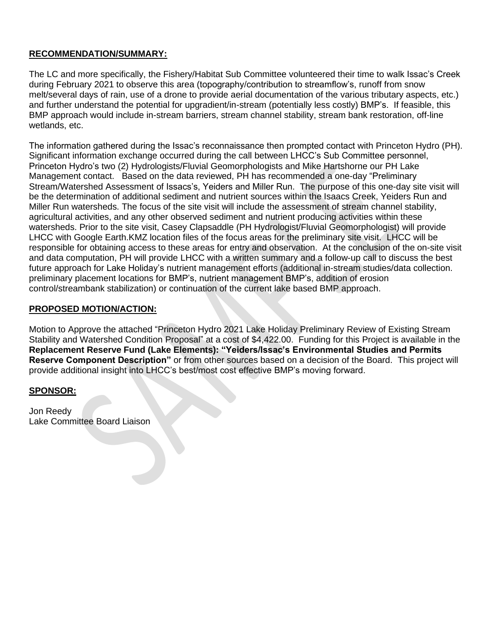### **RECOMMENDATION/SUMMARY:**

The LC and more specifically, the Fishery/Habitat Sub Committee volunteered their time to walk Issac's Creek during February 2021 to observe this area (topography/contribution to streamflow's, runoff from snow melt/several days of rain, use of a drone to provide aerial documentation of the various tributary aspects, etc.) and further understand the potential for upgradient/in-stream (potentially less costly) BMP's. If feasible, this BMP approach would include in-stream barriers, stream channel stability, stream bank restoration, off-line wetlands, etc.

The information gathered during the Issac's reconnaissance then prompted contact with Princeton Hydro (PH). Significant information exchange occurred during the call between LHCC's Sub Committee personnel, Princeton Hydro's two (2) Hydrologists/Fluvial Geomorphologists and Mike Hartshorne our PH Lake Management contact. Based on the data reviewed, PH has recommended a one-day "Preliminary Stream/Watershed Assessment of Issacs's, Yeiders and Miller Run. The purpose of this one-day site visit will be the determination of additional sediment and nutrient sources within the Isaacs Creek, Yeiders Run and Miller Run watersheds. The focus of the site visit will include the assessment of stream channel stability, agricultural activities, and any other observed sediment and nutrient producing activities within these watersheds. Prior to the site visit, Casey Clapsaddle (PH Hydrologist/Fluvial Geomorphologist) will provide LHCC with Google Earth.KMZ location files of the focus areas for the preliminary site visit. LHCC will be responsible for obtaining access to these areas for entry and observation. At the conclusion of the on-site visit and data computation, PH will provide LHCC with a written summary and a follow-up call to discuss the best future approach for Lake Holiday's nutrient management efforts (additional in-stream studies/data collection. preliminary placement locations for BMP's, nutrient management BMP's, addition of erosion control/streambank stabilization) or continuation of the current lake based BMP approach.

### **PROPOSED MOTION/ACTION:**

Motion to Approve the attached "Princeton Hydro 2021 Lake Holiday Preliminary Review of Existing Stream Stability and Watershed Condition Proposal" at a cost of \$4,422.00. Funding for this Project is available in the **Replacement Reserve Fund (Lake Elements): "Yeiders/Issac's Environmental Studies and Permits Reserve Component Description"** or from other sources based on a decision of the Board. This project will provide additional insight into LHCC's best/most cost effective BMP's moving forward.

### **SPONSOR:**

Jon Reedy Lake Committee Board Liaison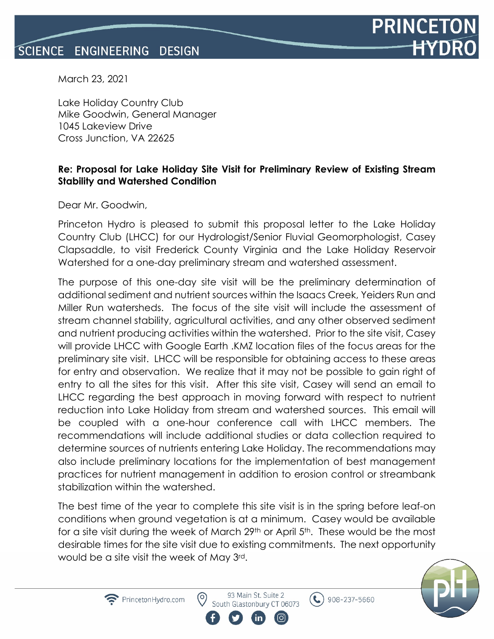

March 23, 2021

Lake Holiday Country Club Mike Goodwin, General Manager 1045 Lakeview Drive Cross Junction, VA 22625

# **Re: Proposal for Lake Holiday Site Visit for Preliminary Review of Existing Stream Stability and Watershed Condition**

Dear Mr. Goodwin,

Princeton Hydro is pleased to submit this proposal letter to the Lake Holiday Country Club (LHCC) for our Hydrologist/Senior Fluvial Geomorphologist, Casey Clapsaddle, to visit Frederick County Virginia and the Lake Holiday Reservoir Watershed for a one-day preliminary stream and watershed assessment.

The purpose of this one-day site visit will be the preliminary determination of additional sediment and nutrient sources within the Isaacs Creek, Yeiders Run and Miller Run watersheds. The focus of the site visit will include the assessment of stream channel stability, agricultural activities, and any other observed sediment and nutrient producing activities within the watershed. Prior to the site visit, Casey will provide LHCC with Google Earth .KMZ location files of the focus areas for the preliminary site visit. LHCC will be responsible for obtaining access to these areas for entry and observation. We realize that it may not be possible to gain right of entry to all the sites for this visit. After this site visit, Casey will send an email to LHCC regarding the best approach in moving forward with respect to nutrient reduction into Lake Holiday from stream and watershed sources. This email will be coupled with a one-hour conference call with LHCC members. The recommendations will include additional studies or data collection required to determine sources of nutrients entering Lake Holiday. The recommendations may also include preliminary locations for the implementation of best management practices for nutrient management in addition to erosion control or streambank stabilization within the watershed.

The best time of the year to complete this site visit is in the spring before leaf-on conditions when ground vegetation is at a minimum. Casey would be available for a site visit during the week of March 29<sup>th</sup> or April 5<sup>th</sup>. These would be the most desirable times for the site visit due to existing commitments. The next opportunity would be a site visit the week of May 3rd.



93 Main St. Suite 2 South Glastonbury CT 06073

(ට)

 $\left( \bullet \right)$  908-237-5660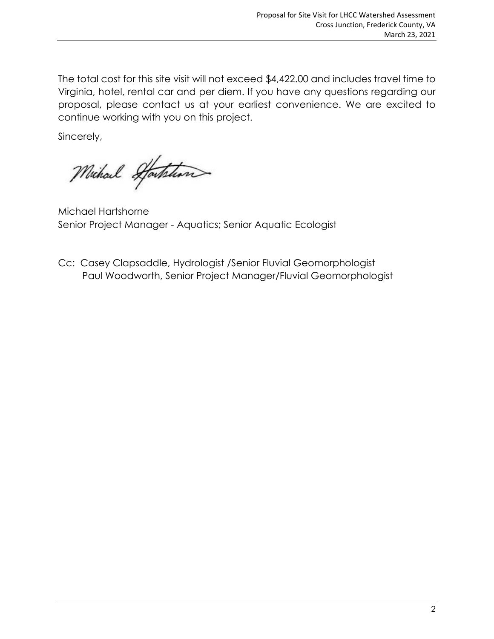The total cost for this site visit will not exceed \$4,422.00 and includes travel time to Virginia, hotel, rental car and per diem. If you have any questions regarding our proposal, please contact us at your earliest convenience. We are excited to continue working with you on this project.

Sincerely,

Michael Starthan

Michael Hartshorne Senior Project Manager - Aquatics; Senior Aquatic Ecologist

Cc: Casey Clapsaddle, Hydrologist /Senior Fluvial Geomorphologist Paul Woodworth, Senior Project Manager/Fluvial Geomorphologist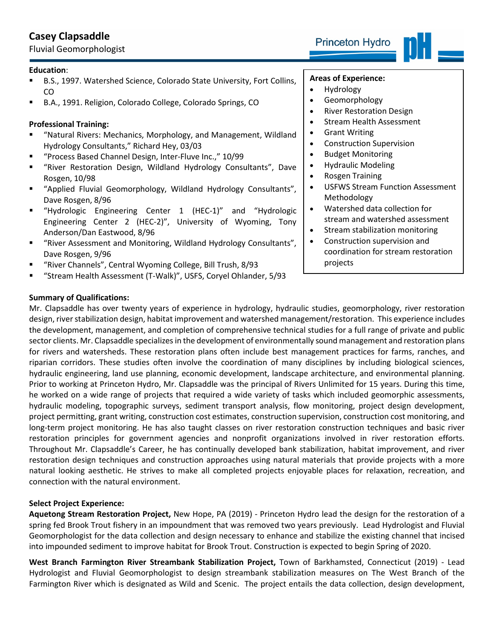# **Casey Clapsaddle**

Fluvial Geomorphologist

- B.S., 1997. Watershed Science, Colorado State University, Fort Collins, CO
- B.A., 1991. Religion, Colorado College, Colorado Springs, CO

## **Professional Training:**

- "Natural Rivers: Mechanics, Morphology, and Management, Wildland Hydrology Consultants," Richard Hey, 03/03
- "Process Based Channel Design, Inter-Fluve Inc.," 10/99
- "River Restoration Design, Wildland Hydrology Consultants", Dave Rosgen, 10/98
- "Applied Fluvial Geomorphology, Wildland Hydrology Consultants", Dave Rosgen, 8/96
- "Hydrologic Engineering Center 1 (HEC-1)" and "Hydrologic Engineering Center 2 (HEC-2)", University of Wyoming, Tony Anderson/Dan Eastwood, 8/96
- "River Assessment and Monitoring, Wildland Hydrology Consultants", Dave Rosgen, 9/96
- "River Channels", Central Wyoming College, Bill Trush, 8/93
- "Stream Health Assessment (T-Walk)", USFS, Coryel Ohlander, 5/93

## **Summary of Qualifications:**

**Areas of Experience:**

- Hydrology
- Geomorphology
- River Restoration Design
- Stream Health Assessment
- Grant Writing
- Construction Supervision
- Budget Monitoring
- Hydraulic Modeling
- Rosgen Training
- USFWS Stream Function Assessment Methodology
- Watershed data collection for stream and watershed assessment
- Stream stabilization monitoring
- Construction supervision and coordination for stream restoration projects

Mr. Clapsaddle has over twenty years of experience in hydrology, hydraulic studies, geomorphology, river restoration design, river stabilization design, habitat improvement and watershed management/restoration. This experience includes the development, management, and completion of comprehensive technical studies for a full range of private and public sector clients. Mr. Clapsaddle specializes in the development of environmentally sound management and restoration plans for rivers and watersheds. These restoration plans often include best management practices for farms, ranches, and riparian corridors. These studies often involve the coordination of many disciplines by including biological sciences, hydraulic engineering, land use planning, economic development, landscape architecture, and environmental planning. Prior to working at Princeton Hydro, Mr. Clapsaddle was the principal of Rivers Unlimited for 15 years. During this time, he worked on a wide range of projects that required a wide variety of tasks which included geomorphic assessments, hydraulic modeling, topographic surveys, sediment transport analysis, flow monitoring, project design development, project permitting, grant writing, construction cost estimates, construction supervision, construction cost monitoring, and long-term project monitoring. He has also taught classes on river restoration construction techniques and basic river restoration principles for government agencies and nonprofit organizations involved in river restoration efforts. Throughout Mr. Clapsaddle's Career, he has continually developed bank stabilization, habitat improvement, and river restoration design techniques and construction approaches using natural materials that provide projects with a more natural looking aesthetic. He strives to make all completed projects enjoyable places for relaxation, recreation, and connection with the natural environment.

### **Select Project Experience:**

**Aquetong Stream Restoration Project,** New Hope, PA (2019) - Princeton Hydro lead the design for the restoration of a spring fed Brook Trout fishery in an impoundment that was removed two years previously. Lead Hydrologist and Fluvial Geomorphologist for the data collection and design necessary to enhance and stabilize the existing channel that incised into impounded sediment to improve habitat for Brook Trout. Construction is expected to begin Spring of 2020.

**West Branch Farmington River Streambank Stabilization Project,** Town of Barkhamsted, Connecticut (2019) - Lead Hydrologist and Fluvial Geomorphologist to design streambank stabilization measures on The West Branch of the Farmington River which is designated as Wild and Scenic. The project entails the data collection, design development,